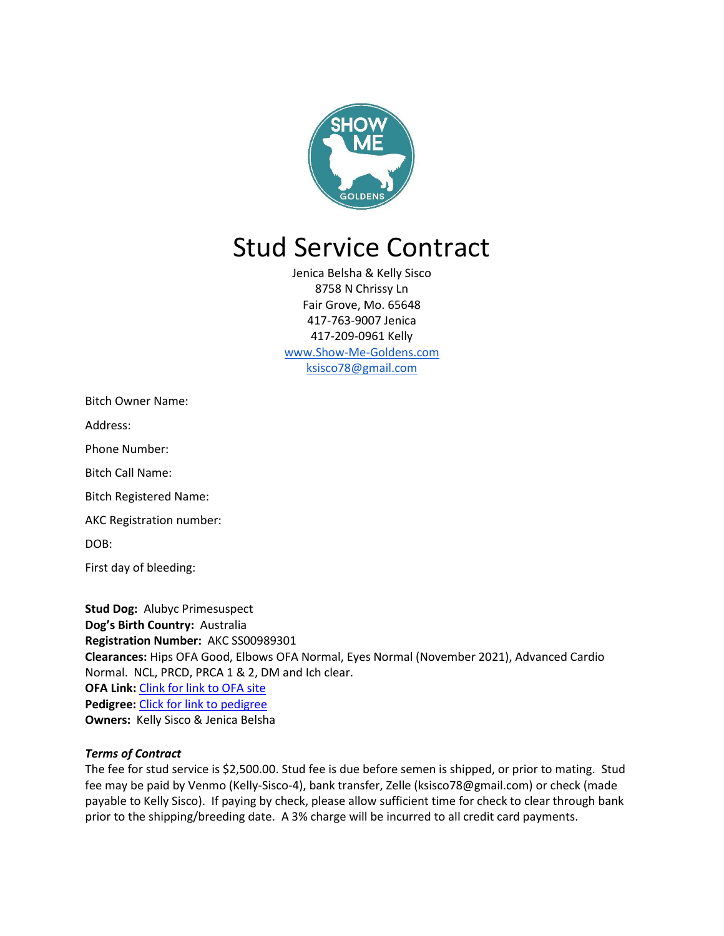

# Stud Service Contract

Jenica Belsha & Kelly Sisco 8758 N Chrissy Ln Fair Grove, Mo. 65648 417-763-9007 Jenica 417-209-0961 Kelly [www.Show-Me-Goldens.com](http://www.show-me-goldens.com/) ksisco78@gmail.com

Address:

Phone Number:

Bitch Call Name:

Bitch Registered Name:

AKC Registration number:

DOB:

First day of bleeding:

**Stud Dog:** Alubyc Primesuspect **Dog's Birth Country:** Australia **Registration Number:** AKC SS00989301 **Clearances:** Hips OFA Good, Elbows OFA Normal, Eyes Normal (November 2021), Advanced Cardio Normal. NCL, PRCD, PRCA 1 & 2, DM and Ich clear. **OFA Link:** [Clink for link to OFA site](https://www.ofa.org/advanced-search?f=sr&appnum=1936456) **Pedigree:** [Click for link to pedigree](https://k9data.com/pedigree.asp?ID=836487) **Owners:** Kelly Sisco & Jenica Belsha

#### *Terms of Contract*

The fee for stud service is \$2,500.00. Stud fee is due before semen is shipped, or prior to mating. Stud fee may be paid by Venmo (Kelly-Sisco-4), bank transfer, Zelle (ksisco78@gmail.com) or check (made payable to Kelly Sisco). If paying by check, please allow sufficient time for check to clear through bank prior to the shipping/breeding date. A 3% charge will be incurred to all credit card payments.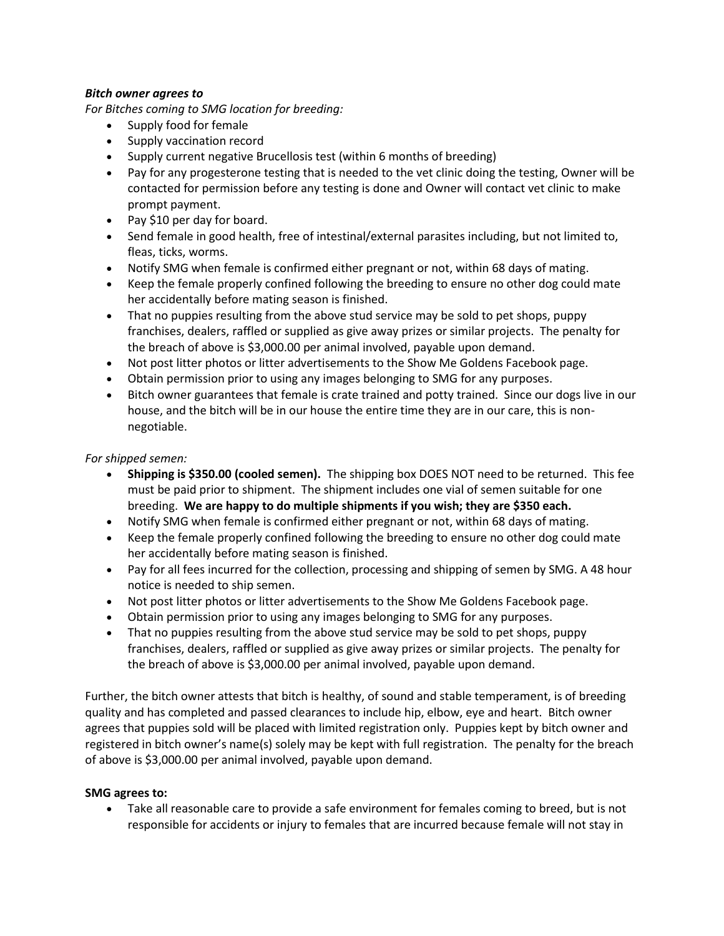### *Bitch owner agrees to*

*For Bitches coming to SMG location for breeding:*

- Supply food for female
- Supply vaccination record
- Supply current negative Brucellosis test (within 6 months of breeding)
- Pay for any progesterone testing that is needed to the vet clinic doing the testing, Owner will be contacted for permission before any testing is done and Owner will contact vet clinic to make prompt payment.
- Pay \$10 per day for board.
- Send female in good health, free of intestinal/external parasites including, but not limited to, fleas, ticks, worms.
- Notify SMG when female is confirmed either pregnant or not, within 68 days of mating.
- Keep the female properly confined following the breeding to ensure no other dog could mate her accidentally before mating season is finished.
- That no puppies resulting from the above stud service may be sold to pet shops, puppy franchises, dealers, raffled or supplied as give away prizes or similar projects. The penalty for the breach of above is \$3,000.00 per animal involved, payable upon demand.
- Not post litter photos or litter advertisements to the Show Me Goldens Facebook page.
- Obtain permission prior to using any images belonging to SMG for any purposes.
- Bitch owner guarantees that female is crate trained and potty trained. Since our dogs live in our house, and the bitch will be in our house the entire time they are in our care, this is nonnegotiable.

### *For shipped semen:*

- **Shipping is \$350.00 (cooled semen).** The shipping box DOES NOT need to be returned. This fee must be paid prior to shipment. The shipment includes one vial of semen suitable for one breeding. **We are happy to do multiple shipments if you wish; they are \$350 each.**
- Notify SMG when female is confirmed either pregnant or not, within 68 days of mating.
- Keep the female properly confined following the breeding to ensure no other dog could mate her accidentally before mating season is finished.
- Pay for all fees incurred for the collection, processing and shipping of semen by SMG. A 48 hour notice is needed to ship semen.
- Not post litter photos or litter advertisements to the Show Me Goldens Facebook page.
- Obtain permission prior to using any images belonging to SMG for any purposes.
- That no puppies resulting from the above stud service may be sold to pet shops, puppy franchises, dealers, raffled or supplied as give away prizes or similar projects. The penalty for the breach of above is \$3,000.00 per animal involved, payable upon demand.

Further, the bitch owner attests that bitch is healthy, of sound and stable temperament, is of breeding quality and has completed and passed clearances to include hip, elbow, eye and heart. Bitch owner agrees that puppies sold will be placed with limited registration only. Puppies kept by bitch owner and registered in bitch owner's name(s) solely may be kept with full registration. The penalty for the breach of above is \$3,000.00 per animal involved, payable upon demand.

## **SMG agrees to:**

• Take all reasonable care to provide a safe environment for females coming to breed, but is not responsible for accidents or injury to females that are incurred because female will not stay in